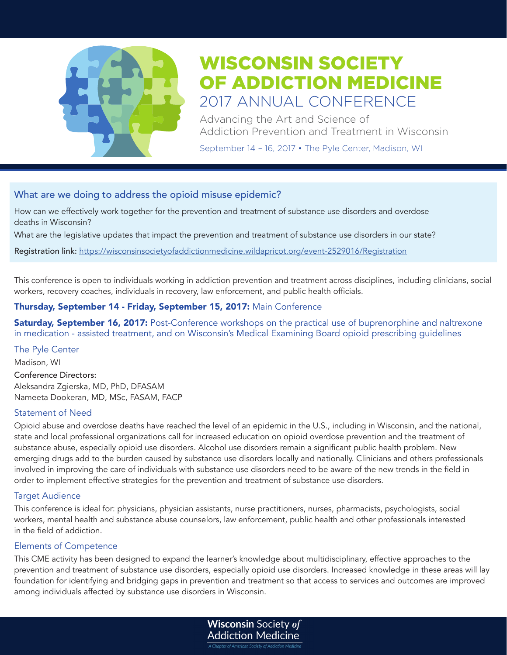

Advancing the Art and Science of Addiction Prevention and Treatment in Wisconsin

September 14 – 16, 2017 • The Pyle Center, Madison, WI

# What are we doing to address the opioid misuse epidemic?

How can we effectively work together for the prevention and treatment of substance use disorders and overdose deaths in Wisconsin?

What are the legislative updates that impact the prevention and treatment of substance use disorders in our state?

Registration link: https://wisconsinsocietyofaddictionmedicine.wildapricot.org/event-2529016/Registration

This conference is open to individuals working in addiction prevention and treatment across disciplines, including clinicians, social workers, recovery coaches, individuals in recovery, law enforcement, and public health officials.

# Thursday, September 14 - Friday, September 15, 2017: Main Conference

Saturday, September 16, 2017: Post-Conference workshops on the practical use of buprenorphine and naltrexone in medication - assisted treatment, and on Wisconsin's Medical Examining Board opioid prescribing guidelines

# The Pyle Center

Madison, WI Conference Directors: Aleksandra Zgierska, MD, PhD, DFASAM Nameeta Dookeran, MD, MSc, FASAM, FACP

# Statement of Need

Opioid abuse and overdose deaths have reached the level of an epidemic in the U.S., including in Wisconsin, and the national, state and local professional organizations call for increased education on opioid overdose prevention and the treatment of substance abuse, especially opioid use disorders. Alcohol use disorders remain a significant public health problem. New emerging drugs add to the burden caused by substance use disorders locally and nationally. Clinicians and others professionals involved in improving the care of individuals with substance use disorders need to be aware of the new trends in the field in order to implement effective strategies for the prevention and treatment of substance use disorders.

# Target Audience

This conference is ideal for: physicians, physician assistants, nurse practitioners, nurses, pharmacists, psychologists, social workers, mental health and substance abuse counselors, law enforcement, public health and other professionals interested in the field of addiction.

# Elements of Competence

This CME activity has been designed to expand the learner's knowledge about multidisciplinary, effective approaches to the prevention and treatment of substance use disorders, especially opioid use disorders. Increased knowledge in these areas will lay foundation for identifying and bridging gaps in prevention and treatment so that access to services and outcomes are improved among individuals affected by substance use disorders in Wisconsin.

> **Wisconsin Society of Addiction Medicine**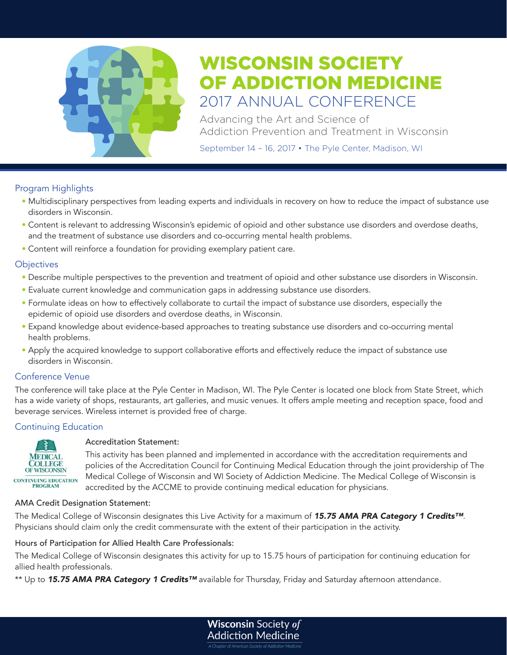

Advancing the Art and Science of Addiction Prevention and Treatment in Wisconsin

September 14 – 16, 2017 • The Pyle Center, Madison, WI

# Program Highlights

- Multidisciplinary perspectives from leading experts and individuals in recovery on how to reduce the impact of substance use disorders in Wisconsin.
- Content is relevant to addressing Wisconsin's epidemic of opioid and other substance use disorders and overdose deaths, and the treatment of substance use disorders and co-occurring mental health problems.
- Content will reinforce a foundation for providing exemplary patient care.

# **Objectives**

- Describe multiple perspectives to the prevention and treatment of opioid and other substance use disorders in Wisconsin.
- Evaluate current knowledge and communication gaps in addressing substance use disorders.
- Formulate ideas on how to effectively collaborate to curtail the impact of substance use disorders, especially the epidemic of opioid use disorders and overdose deaths, in Wisconsin.
- Expand knowledge about evidence-based approaches to treating substance use disorders and co-occurring mental health problems.
- Apply the acquired knowledge to support collaborative efforts and effectively reduce the impact of substance use disorders in Wisconsin.

# Conference Venue

The conference will take place at the Pyle Center in Madison, WI. The Pyle Center is located one block from State Street, which has a wide variety of shops, restaurants, art galleries, and music venues. It offers ample meeting and reception space, food and beverage services. Wireless internet is provided free of charge.

# Continuing Education



# Accreditation Statement:

This activity has been planned and implemented in accordance with the accreditation requirements and policies of the Accreditation Council for Continuing Medical Education through the joint providership of The Medical College of Wisconsin and WI Society of Addiction Medicine. The Medical College of Wisconsin is accredited by the ACCME to provide continuing medical education for physicians.

#### AMA Credit Designation Statement:

The Medical College of Wisconsin designates this Live Activity for a maximum of *15.75 AMA PRA Category 1 Credits™*. Physicians should claim only the credit commensurate with the extent of their participation in the activity.

# Hours of Participation for Allied Health Care Professionals:

The Medical College of Wisconsin designates this activity for up to 15.75 hours of participation for continuing education for allied health professionals.

\*\* Up to *15.75 AMA PRA Category 1 Credits™* available for Thursday, Friday and Saturday afternoon attendance.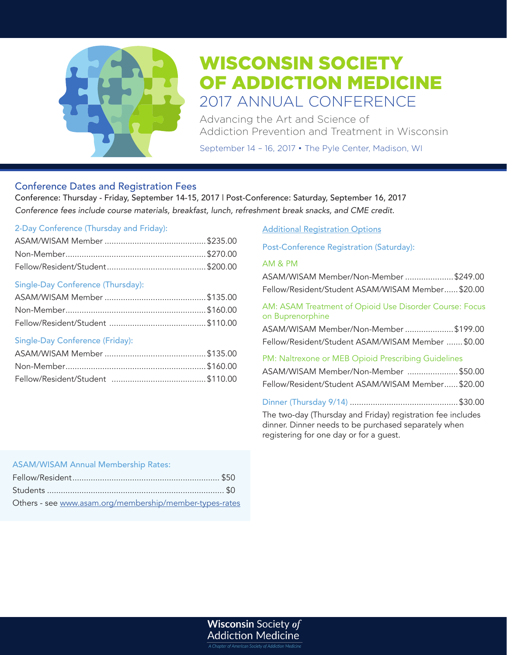

Advancing the Art and Science of Addiction Prevention and Treatment in Wisconsin

September 14 – 16, 2017 • The Pyle Center, Madison, WI

# Conference Dates and Registration Fees

Conference: Thursday - Friday, September 14-15, 2017 | Post-Conference: Saturday, September 16, 2017 *Conference fees include course materials, breakfast, lunch, refreshment break snacks, and CME credit.* 

#### 2-Day Conference (Thursday and Friday):

# Single-Day Conference (Thursday):

# Single-Day Conference (Friday):

# Additional Registration Options

Post-Conference Registration (Saturday):

#### AM & PM

| ASAM/WISAM Member/Non-Member \$249.00<br>Fellow/Resident/Student ASAM/WISAM Member \$20.00                                                                               |
|--------------------------------------------------------------------------------------------------------------------------------------------------------------------------|
| AM: ASAM Treatment of Opioid Use Disorder Course: Focus<br>on Buprenorphine<br>ASAM/WISAM Member/Non-Member \$199.00<br>Fellow/Resident/Student ASAM/WISAM Member \$0.00 |
| PM: Naltrexone or MEB Opioid Prescribing Guidelines<br>ASAM/WISAM Member/Non-Member \$50.00<br>Fellow/Resident/Student ASAM/WISAM Member \$20.00                         |
| The two-day (Thursday and Friday) registration fee includes<br>dinner. Dinner needs to be purchased separately when<br>registering for one day or for a guest.           |

# ASAM/WISAM Annual Membership Rates:

| Others - see www.asam.org/membership/member-types-rates |  |
|---------------------------------------------------------|--|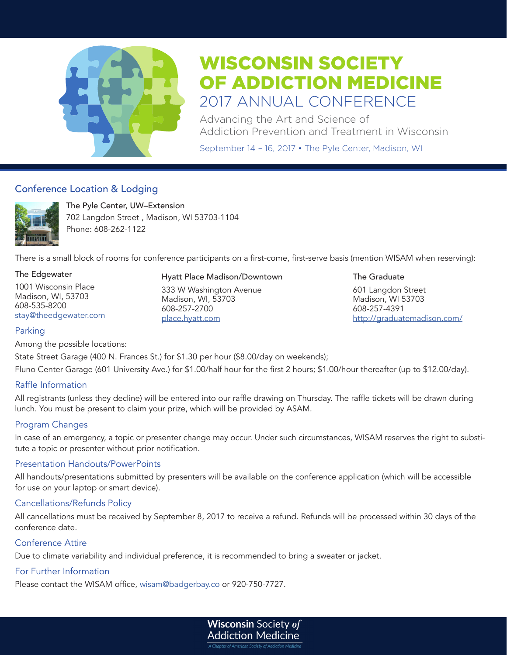

Advancing the Art and Science of Addiction Prevention and Treatment in Wisconsin

September 14 – 16, 2017 • The Pyle Center, Madison, WI

# Conference Location & Lodging



The Pyle Center, UW–Extension 702 Langdon Street , Madison, WI 53703-1104 Phone: 608-262-1122

There is a small block of rooms for conference participants on a first-come, first-serve basis (mention WISAM when reserving):

#### The Edgewater

1001 Wisconsin Place Madison, WI, 53703 608-535-8200 stay@theedgewater.com

#### Hyatt Place Madison/Downtown

333 W Washington Avenue Madison, WI, 53703 608-257-2700 place.hyatt.com

#### The Graduate

601 Langdon Street Madison, WI 53703 608-257-4391 http://graduatemadison.com/

# Parking

Among the possible locations:

State Street Garage (400 N. Frances St.) for \$1.30 per hour (\$8.00/day on weekends); Fluno Center Garage (601 University Ave.) for \$1.00/half hour for the first 2 hours; \$1.00/hour thereafter (up to \$12.00/day).

# Raffle Information

All registrants (unless they decline) will be entered into our raffle drawing on Thursday. The raffle tickets will be drawn during lunch. You must be present to claim your prize, which will be provided by ASAM.

# Program Changes

In case of an emergency, a topic or presenter change may occur. Under such circumstances, WISAM reserves the right to substitute a topic or presenter without prior notification.

# Presentation Handouts/PowerPoints

All handouts/presentations submitted by presenters will be available on the conference application (which will be accessible for use on your laptop or smart device).

# Cancellations/Refunds Policy

All cancellations must be received by September 8, 2017 to receive a refund. Refunds will be processed within 30 days of the conference date.

# Conference Attire

Due to climate variability and individual preference, it is recommended to bring a sweater or jacket.

# For Further Information

Please contact the WISAM office, wisam@badgerbay.co or 920-750-7727.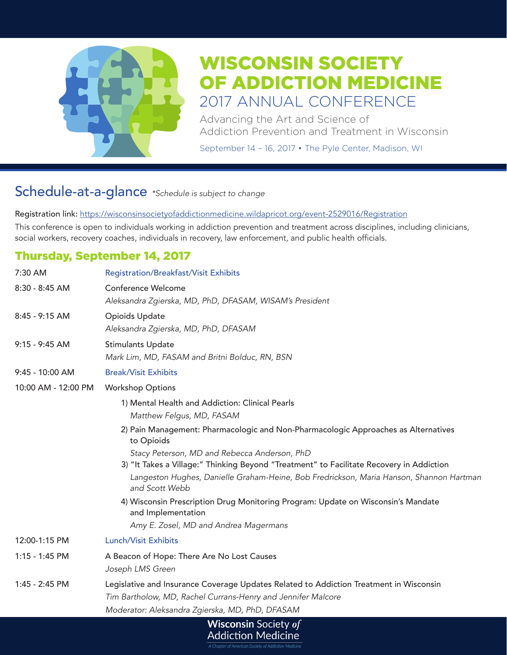

Advancing the Art and Science of Addiction Prevention and Treatment in Wisconsin

September 14 – 16, 2017 • The Pyle Center, Madison, WI

# Schedule-at-a-glance *\*Schedule is subject to change*

Registration link: https://wisconsinsocietyofaddictionmedicine.wildapricot.org/event-2529016/Registration This conference is open to individuals working in addiction prevention and treatment across disciplines, including clinicians, social workers, recovery coaches, individuals in recovery, law enforcement, and public health officials.

# Thursday, September 14, 2017

| 7:30 AM             | <b>Registration/Breakfast/Visit Exhibits</b>                                                                                             |
|---------------------|------------------------------------------------------------------------------------------------------------------------------------------|
| 8:30 - 8:45 AM      | Conference Welcome<br>Aleksandra Zgierska, MD, PhD, DFASAM, WISAM's President                                                            |
| 8:45 - 9:15 AM      | Opioids Update<br>Aleksandra Zgierska, MD, PhD, DFASAM                                                                                   |
| 9:15 - 9:45 AM      | <b>Stimulants Update</b><br>Mark Lim, MD, FASAM and Britni Bolduc, RN, BSN                                                               |
| 9:45 - 10:00 AM     | <b>Break/Visit Exhibits</b>                                                                                                              |
| 10:00 AM - 12:00 PM | <b>Workshop Options</b>                                                                                                                  |
|                     | 1) Mental Health and Addiction: Clinical Pearls<br>Matthew Felgus, MD, FASAM                                                             |
|                     | 2) Pain Management: Pharmacologic and Non-Pharmacologic Approaches as Alternatives<br>to Opioids                                         |
|                     | Stacy Peterson, MD and Rebecca Anderson, PhD<br>3) "It Takes a Village:" Thinking Beyond "Treatment" to Facilitate Recovery in Addiction |
|                     | Langeston Hughes, Danielle Graham-Heine, Bob Fredrickson, Maria Hanson, Shannon Hartman<br>and Scott Webb                                |
|                     | 4) Wisconsin Prescription Drug Monitoring Program: Update on Wisconsin's Mandate<br>and Implementation                                   |
|                     | Amy E. Zosel, MD and Andrea Magermans                                                                                                    |
| 12:00-1:15 PM       | Lunch/Visit Exhibits                                                                                                                     |
| 1:15 - 1:45 PM      | A Beacon of Hope: There Are No Lost Causes                                                                                               |
|                     | Joseph LMS Green                                                                                                                         |
| 1:45 - 2:45 PM      | Legislative and Insurance Coverage Updates Related to Addiction Treatment in Wisconsin                                                   |
|                     | Tim Bartholow, MD, Rachel Currans-Henry and Jennifer Malcore                                                                             |
|                     | Moderator: Aleksandra Zgierska, MD, PhD, DFASAM                                                                                          |
|                     | <i>Wisconsin Society of</i>                                                                                                              |

**Addiction Medicine**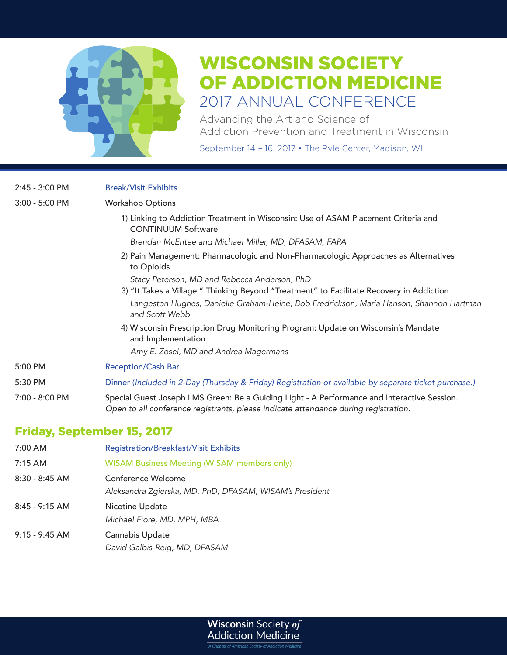

Advancing the Art and Science of Addiction Prevention and Treatment in Wisconsin

September 14 – 16, 2017 • The Pyle Center, Madison, WI

| $2:45 - 3:00$ PM | <b>Break/Visit Exhibits</b>                                                                                                                                                        |
|------------------|------------------------------------------------------------------------------------------------------------------------------------------------------------------------------------|
| $3:00 - 5:00$ PM | <b>Workshop Options</b>                                                                                                                                                            |
|                  | 1) Linking to Addiction Treatment in Wisconsin: Use of ASAM Placement Criteria and<br><b>CONTINUUM Software</b>                                                                    |
|                  | Brendan McEntee and Michael Miller, MD, DFASAM, FAPA                                                                                                                               |
|                  | 2) Pain Management: Pharmacologic and Non-Pharmacologic Approaches as Alternatives<br>to Opioids                                                                                   |
|                  | Stacy Peterson, MD and Rebecca Anderson, PhD                                                                                                                                       |
|                  | 3) "It Takes a Village:" Thinking Beyond "Treatment" to Facilitate Recovery in Addiction                                                                                           |
|                  | Langeston Hughes, Danielle Graham-Heine, Bob Fredrickson, Maria Hanson, Shannon Hartman<br>and Scott Webb                                                                          |
|                  | 4) Wisconsin Prescription Drug Monitoring Program: Update on Wisconsin's Mandate<br>and Implementation                                                                             |
|                  | Amy E. Zosel, MD and Andrea Magermans                                                                                                                                              |
| 5:00 PM          | <b>Reception/Cash Bar</b>                                                                                                                                                          |
| 5:30 PM          | Dinner (Included in 2-Day (Thursday & Friday) Registration or available by separate ticket purchase.)                                                                              |
| 7:00 - 8:00 PM   | Special Guest Joseph LMS Green: Be a Guiding Light - A Performance and Interactive Session.<br>Open to all conference registrants, please indicate attendance during registration. |
|                  | アジョー・・ ウェール・エーレー ボデーのあます                                                                                                                                                           |

# Friday, September 15, 2017

| 7:00 AM          | <b>Registration/Breakfast/Visit Exhibits</b>            |
|------------------|---------------------------------------------------------|
| $7:15$ AM        | <b>WISAM Business Meeting (WISAM members only)</b>      |
| $8:30 - 8:45$ AM | Conference Welcome                                      |
|                  | Aleksandra Zgierska, MD, PhD, DFASAM, WISAM's President |
| $8:45 - 9:15$ AM | Nicotine Update                                         |
|                  | Michael Fiore, MD, MPH, MBA                             |
| $9:15 - 9:45$ AM | Cannabis Update                                         |
|                  | David Galbis-Reig, MD, DFASAM                           |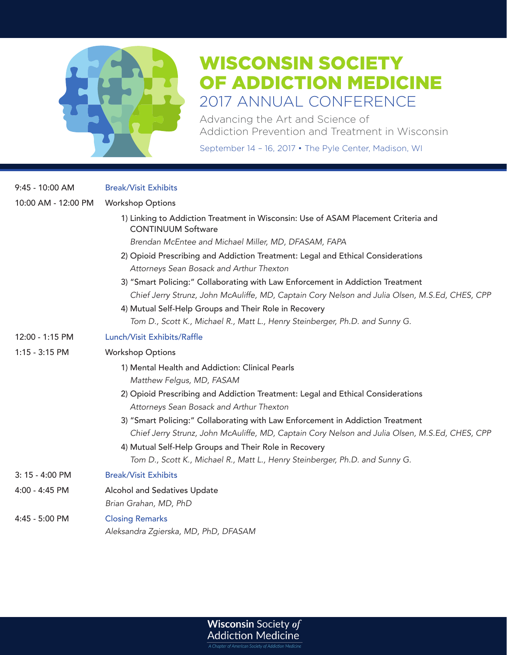

Advancing the Art and Science of Addiction Prevention and Treatment in Wisconsin

September 14 – 16, 2017 • The Pyle Center, Madison, WI

| $9:45 - 10:00$ AM   | <b>Break/Visit Exhibits</b>                                                                                     |
|---------------------|-----------------------------------------------------------------------------------------------------------------|
| 10:00 AM - 12:00 PM | <b>Workshop Options</b>                                                                                         |
|                     | 1) Linking to Addiction Treatment in Wisconsin: Use of ASAM Placement Criteria and<br><b>CONTINUUM Software</b> |
|                     | Brendan McEntee and Michael Miller, MD, DFASAM, FAPA                                                            |
|                     | 2) Opioid Prescribing and Addiction Treatment: Legal and Ethical Considerations                                 |
|                     | Attorneys Sean Bosack and Arthur Thexton                                                                        |
|                     | 3) "Smart Policing:" Collaborating with Law Enforcement in Addiction Treatment                                  |
|                     | Chief Jerry Strunz, John McAuliffe, MD, Captain Cory Nelson and Julia Olsen, M.S.Ed, CHES, CPP                  |
|                     | 4) Mutual Self-Help Groups and Their Role in Recovery                                                           |
|                     | Tom D., Scott K., Michael R., Matt L., Henry Steinberger, Ph.D. and Sunny G.                                    |
| 12:00 - 1:15 PM     | Lunch/Visit Exhibits/Raffle                                                                                     |
| 1:15 - 3:15 PM      | <b>Workshop Options</b>                                                                                         |
|                     | 1) Mental Health and Addiction: Clinical Pearls                                                                 |
|                     | Matthew Felgus, MD, FASAM                                                                                       |
|                     | 2) Opioid Prescribing and Addiction Treatment: Legal and Ethical Considerations                                 |
|                     | Attorneys Sean Bosack and Arthur Thexton                                                                        |
|                     | 3) "Smart Policing:" Collaborating with Law Enforcement in Addiction Treatment                                  |
|                     | Chief Jerry Strunz, John McAuliffe, MD, Captain Cory Nelson and Julia Olsen, M.S.Ed, CHES, CPP                  |
|                     | 4) Mutual Self-Help Groups and Their Role in Recovery                                                           |
|                     | Tom D., Scott K., Michael R., Matt L., Henry Steinberger, Ph.D. and Sunny G.                                    |
| 3: 15 - 4:00 PM     | <b>Break/Visit Exhibits</b>                                                                                     |
| 4:00 - 4:45 PM      | Alcohol and Sedatives Update                                                                                    |
|                     | Brian Grahan, MD, PhD                                                                                           |
| 4:45 - 5:00 PM      | <b>Closing Remarks</b>                                                                                          |
|                     | Aleksandra Zgierska, MD, PhD, DFASAM                                                                            |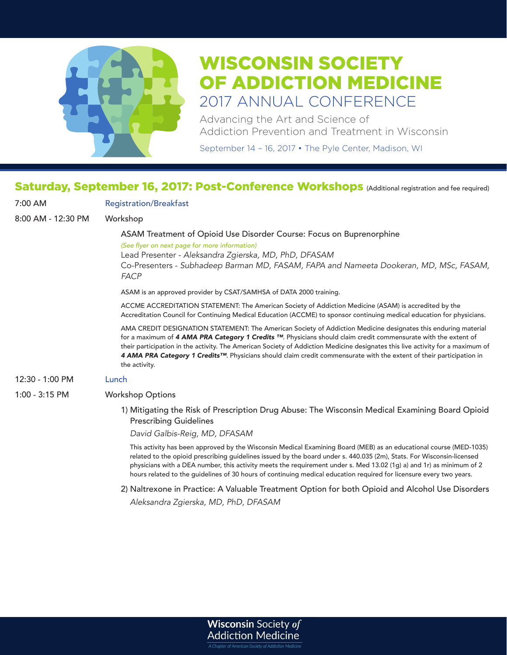

Advancing the Art and Science of Addiction Prevention and Treatment in Wisconsin

September 14 – 16, 2017 • The Pyle Center, Madison, WI

# Saturday, September 16, 2017: Post-Conference Workshops (Additional registration and fee required)

| 7:00 AM            | <b>Registration/Breakfast</b>                                                                                                                                                                                                                                                                                                                                                                                                                                                                                              |
|--------------------|----------------------------------------------------------------------------------------------------------------------------------------------------------------------------------------------------------------------------------------------------------------------------------------------------------------------------------------------------------------------------------------------------------------------------------------------------------------------------------------------------------------------------|
| 8:00 AM - 12:30 PM | Workshop                                                                                                                                                                                                                                                                                                                                                                                                                                                                                                                   |
|                    | ASAM Treatment of Opioid Use Disorder Course: Focus on Buprenorphine<br>(See flyer on next page for more information)<br>Lead Presenter - Aleksandra Zgierska, MD, PhD, DFASAM<br>Co-Presenters - Subhadeep Barman MD, FASAM, FAPA and Nameeta Dookeran, MD, MSc, FASAM,<br><b>FACP</b>                                                                                                                                                                                                                                    |
|                    | ASAM is an approved provider by CSAT/SAMHSA of DATA 2000 training.                                                                                                                                                                                                                                                                                                                                                                                                                                                         |
|                    | ACCME ACCREDITATION STATEMENT: The American Society of Addiction Medicine (ASAM) is accredited by the<br>Accreditation Council for Continuing Medical Education (ACCME) to sponsor continuing medical education for physicians.                                                                                                                                                                                                                                                                                            |
|                    | AMA CREDIT DESIGNATION STATEMENT: The American Society of Addiction Medicine designates this enduring material<br>for a maximum of 4 AMA PRA Category 1 Credits ™. Physicians should claim credit commensurate with the extent of<br>their participation in the activity. The American Society of Addiction Medicine designates this live activity for a maximum of<br>4 AMA PRA Category 1 Credits <sup>TM</sup> . Physicians should claim credit commensurate with the extent of their participation in<br>the activity. |
| 12:30 - 1:00 PM    | Lunch                                                                                                                                                                                                                                                                                                                                                                                                                                                                                                                      |
| 1:00 - 3:15 PM     | <b>Workshop Options</b>                                                                                                                                                                                                                                                                                                                                                                                                                                                                                                    |
|                    | 1) Mitigating the Risk of Prescription Drug Abuse: The Wisconsin Medical Examining Board Opioid<br><b>Prescribing Guidelines</b>                                                                                                                                                                                                                                                                                                                                                                                           |
|                    | David Galbis-Reig, MD, DFASAM                                                                                                                                                                                                                                                                                                                                                                                                                                                                                              |
|                    | This activity has been approved by the Wisconsin Medical Examining Board (MEB) as an educational course (MED-1035)<br>related to the opioid prescribing guidelines issued by the board under s. 440.035 (2m), Stats. For Wisconsin-licensed<br>physicians with a DEA number, this activity meets the requirement under s. Med 13.02 (1q) a) and 1r) as minimum of 2<br>hours related to the quidelines of 30 hours of continuing medical education required for licensure every two years.                                 |
|                    | 2) Naltrexone in Practice: A Valuable Treatment Option for both Opioid and Alcohol Use Disorders                                                                                                                                                                                                                                                                                                                                                                                                                           |

*Aleksandra Zgierska, MD, PhD, DFASAM*